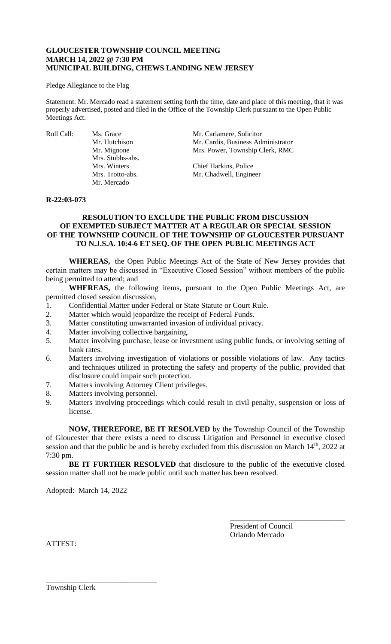# **GLOUCESTER TOWNSHIP COUNCIL MEETING MARCH 14, 2022 @ 7:30 PM MUNICIPAL BUILDING, CHEWS LANDING NEW JERSEY**

#### Pledge Allegiance to the Flag

Statement: Mr. Mercado read a statement setting forth the time, date and place of this meeting, that it was properly advertised, posted and filed in the Office of the Township Clerk pursuant to the Open Public Meetings Act.

Mrs. Stubbs-abs. Mr. Mercado

Roll Call: Ms. Grace Mr. Carlamere, Solicitor<br>Mr. Hutchison Mr. Cardis. Business Adı Mr. Cardis, Business Administrator Mr. Mignone Mrs. Power, Township Clerk, RMC

> Mrs. Winters Chief Harkins, Police Mrs. Trotto-abs. Mr. Chadwell, Engineer

## **R-22:03-073**

# **RESOLUTION TO EXCLUDE THE PUBLIC FROM DISCUSSION OF EXEMPTED SUBJECT MATTER AT A REGULAR OR SPECIAL SESSION OF THE TOWNSHIP COUNCIL OF THE TOWNSHIP OF GLOUCESTER PURSUANT TO N.J.S.A. 10:4-6 ET SEQ. OF THE OPEN PUBLIC MEETINGS ACT**

**WHEREAS,** the Open Public Meetings Act of the State of New Jersey provides that certain matters may be discussed in "Executive Closed Session" without members of the public being permitted to attend; and

**WHEREAS,** the following items, pursuant to the Open Public Meetings Act, are permitted closed session discussion,

- 1. Confidential Matter under Federal or State Statute or Court Rule.
- 2. Matter which would jeopardize the receipt of Federal Funds.
- 3. Matter constituting unwarranted invasion of individual privacy.
- 4. Matter involving collective bargaining.
- 5. Matter involving purchase, lease or investment using public funds, or involving setting of bank rates.
- 6. Matters involving investigation of violations or possible violations of law. Any tactics and techniques utilized in protecting the safety and property of the public, provided that disclosure could impair such protection.
- 7. Matters involving Attorney Client privileges.
- 8. Matters involving personnel.
- 9. Matters involving proceedings which could result in civil penalty, suspension or loss of license.

**NOW, THEREFORE, BE IT RESOLVED** by the Township Council of the Township of Gloucester that there exists a need to discuss Litigation and Personnel in executive closed session and that the public be and is hereby excluded from this discussion on March 14<sup>th</sup>, 2022 at 7:30 pm.

**BE IT FURTHER RESOLVED** that disclosure to the public of the executive closed session matter shall not be made public until such matter has been resolved.

Adopted: March 14, 2022

\_\_\_\_\_\_\_\_\_\_\_\_\_\_\_\_\_\_\_\_\_\_\_\_\_\_\_\_\_

President of Council Orlando Mercado

\_\_\_\_\_\_\_\_\_\_\_\_\_\_\_\_\_\_\_\_\_\_\_\_\_\_\_\_\_\_

ATTEST:

Township Clerk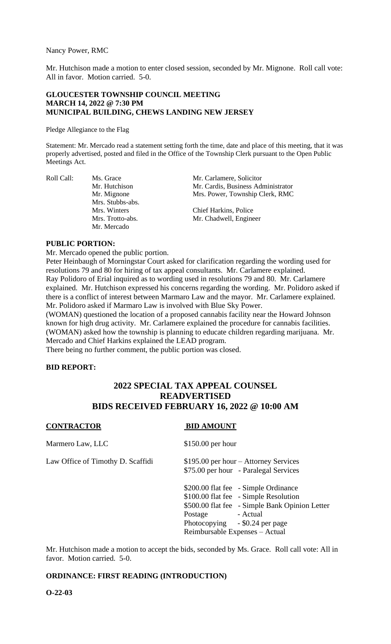Nancy Power, RMC

Mr. Hutchison made a motion to enter closed session, seconded by Mr. Mignone. Roll call vote: All in favor. Motion carried. 5-0.

## **GLOUCESTER TOWNSHIP COUNCIL MEETING MARCH 14, 2022 @ 7:30 PM MUNICIPAL BUILDING, CHEWS LANDING NEW JERSEY**

Pledge Allegiance to the Flag

Statement: Mr. Mercado read a statement setting forth the time, date and place of this meeting, that it was properly advertised, posted and filed in the Office of the Township Clerk pursuant to the Open Public Meetings Act.

Mrs. Stubbs-abs. Mr. Mercado

Roll Call: Ms. Grace Mr. Carlamere, Solicitor<br>Mr. Hutchison Mr. Cardis, Business Adı Mr. Hutchison Mr. Cardis, Business Administrator<br>Mr. Mignone Mrs. Power, Township Clerk, RMC Mrs. Power, Township Clerk, RMC

> Mrs. Winters Chief Harkins, Police Mrs. Trotto-abs. Mr. Chadwell, Engineer

# **PUBLIC PORTION:**

Mr. Mercado opened the public portion.

Peter Heinbaugh of Morningstar Court asked for clarification regarding the wording used for resolutions 79 and 80 for hiring of tax appeal consultants. Mr. Carlamere explained. Ray Polidoro of Erial inquired as to wording used in resolutions 79 and 80. Mr. Carlamere explained. Mr. Hutchison expressed his concerns regarding the wording. Mr. Polidoro asked if there is a conflict of interest between Marmaro Law and the mayor. Mr. Carlamere explained. Mr. Polidoro asked if Marmaro Law is involved with Blue Sky Power.

(WOMAN) questioned the location of a proposed cannabis facility near the Howard Johnson known for high drug activity. Mr. Carlamere explained the procedure for cannabis facilities. (WOMAN) asked how the township is planning to educate children regarding marijuana. Mr. Mercado and Chief Harkins explained the LEAD program.

There being no further comment, the public portion was closed.

#### **BID REPORT:**

# **2022 SPECIAL TAX APPEAL COUNSEL READVERTISED BIDS RECEIVED FEBRUARY 16, 2022 @ 10:00 AM**

# **CONTRACTOR BID AMOUNT** Marmero Law, LLC \$150.00 per hour Law Office of Timothy D. Scaffidi  $$195.00$  per hour – Attorney Services \$75.00 per hour - Paralegal Services \$200.00 flat fee - Simple Ordinance \$100.00 flat fee - Simple Resolution \$500.00 flat fee - Simple Bank Opinion Letter Postage - Actual Photocopying - \$0.24 per page Reimbursable Expenses – Actual

Mr. Hutchison made a motion to accept the bids, seconded by Ms. Grace. Roll call vote: All in favor. Motion carried. 5-0.

# **ORDINANCE: FIRST READING (INTRODUCTION)**

**O-22-03**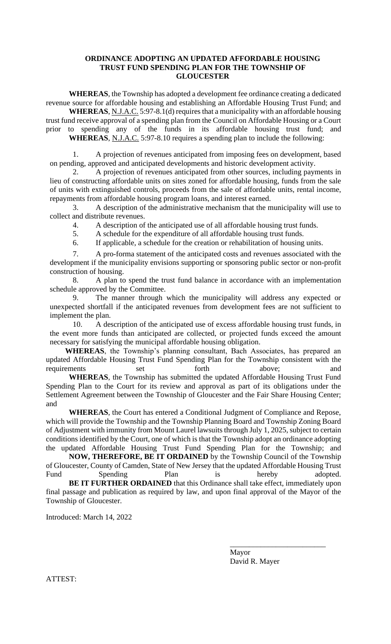# **ORDINANCE ADOPTING AN UPDATED AFFORDABLE HOUSING TRUST FUND SPENDING PLAN FOR THE TOWNSHIP OF GLOUCESTER**

**WHEREAS**, the Township has adopted a development fee ordinance creating a dedicated revenue source for affordable housing and establishing an Affordable Housing Trust Fund; and

**WHEREAS**, N.J.A.C. 5:97-8.1(d) requires that a municipality with an affordable housing trust fund receive approval of a spending plan from the Council on Affordable Housing or a Court prior to spending any of the funds in its affordable housing trust fund; and **WHEREAS**, N.J.A.C. 5:97-8.10 requires a spending plan to include the following:

1. A projection of revenues anticipated from imposing fees on development, based on pending, approved and anticipated developments and historic development activity.

2. A projection of revenues anticipated from other sources, including payments in lieu of constructing affordable units on sites zoned for affordable housing, funds from the sale of units with extinguished controls, proceeds from the sale of affordable units, rental income, repayments from affordable housing program loans, and interest earned.

3. A description of the administrative mechanism that the municipality will use to collect and distribute revenues.

4. A description of the anticipated use of all affordable housing trust funds.

5. A schedule for the expenditure of all affordable housing trust funds.

6. If applicable, a schedule for the creation or rehabilitation of housing units.

7. A pro-forma statement of the anticipated costs and revenues associated with the development if the municipality envisions supporting or sponsoring public sector or non-profit construction of housing.

8. A plan to spend the trust fund balance in accordance with an implementation schedule approved by the Committee.

9. The manner through which the municipality will address any expected or unexpected shortfall if the anticipated revenues from development fees are not sufficient to implement the plan.

10. A description of the anticipated use of excess affordable housing trust funds, in the event more funds than anticipated are collected, or projected funds exceed the amount necessary for satisfying the municipal affordable housing obligation.

**WHEREAS**, the Township's planning consultant, Bach Associates, has prepared an updated Affordable Housing Trust Fund Spending Plan for the Township consistent with the requirements set forth above; and

**WHEREAS**, the Township has submitted the updated Affordable Housing Trust Fund Spending Plan to the Court for its review and approval as part of its obligations under the Settlement Agreement between the Township of Gloucester and the Fair Share Housing Center; and

**WHEREAS**, the Court has entered a Conditional Judgment of Compliance and Repose, which will provide the Township and the Township Planning Board and Township Zoning Board of Adjustment with immunity from Mount Laurel lawsuits through July 1, 2025, subject to certain conditions identified by the Court, one of which is that the Township adopt an ordinance adopting the updated Affordable Housing Trust Fund Spending Plan for the Township; and

**NOW, THEREFORE, BE IT ORDAINED** by the Township Council of the Township of Gloucester, County of Camden, State of New Jersey that the updated Affordable Housing Trust Fund Spending Plan is hereby adopted.

**BE IT FURTHER ORDAINED** that this Ordinance shall take effect, immediately upon final passage and publication as required by law, and upon final approval of the Mayor of the Township of Gloucester.

Introduced: March 14, 2022

\_\_\_\_\_\_\_\_\_\_\_\_\_\_\_\_\_\_\_\_\_\_\_\_\_ Mayor David R. Mayer

ATTEST: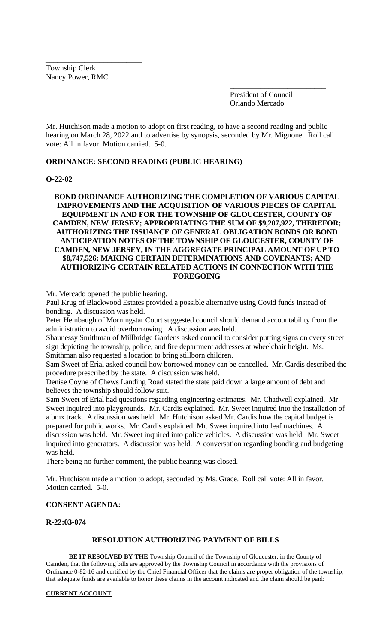Township Clerk Nancy Power, RMC

\_\_\_\_\_\_\_\_\_\_\_\_\_\_\_\_\_\_\_\_\_\_\_\_\_

President of Council Orlando Mercado

\_\_\_\_\_\_\_\_\_\_\_\_\_\_\_\_\_\_\_\_\_\_\_\_\_

Mr. Hutchison made a motion to adopt on first reading, to have a second reading and public hearing on March 28, 2022 and to advertise by synopsis, seconded by Mr. Mignone. Roll call vote: All in favor. Motion carried. 5-0.

# **ORDINANCE: SECOND READING (PUBLIC HEARING)**

## **O-22-02**

# **BOND ORDINANCE AUTHORIZING THE COMPLETION OF VARIOUS CAPITAL IMPROVEMENTS AND THE ACQUISITION OF VARIOUS PIECES OF CAPITAL EQUIPMENT IN AND FOR THE TOWNSHIP OF GLOUCESTER, COUNTY OF CAMDEN, NEW JERSEY; APPROPRIATING THE SUM OF \$9,207,922, THEREFOR; AUTHORIZING THE ISSUANCE OF GENERAL OBLIGATION BONDS OR BOND ANTICIPATION NOTES OF THE TOWNSHIP OF GLOUCESTER, COUNTY OF CAMDEN, NEW JERSEY, IN THE AGGREGATE PRINCIPAL AMOUNT OF UP TO \$8,747,526; MAKING CERTAIN DETERMINATIONS AND COVENANTS; AND AUTHORIZING CERTAIN RELATED ACTIONS IN CONNECTION WITH THE FOREGOING**

Mr. Mercado opened the public hearing.

Paul Krug of Blackwood Estates provided a possible alternative using Covid funds instead of bonding. A discussion was held.

Peter Heinbaugh of Morningstar Court suggested council should demand accountability from the administration to avoid overborrowing. A discussion was held.

Shaunessy Smithman of Millbridge Gardens asked council to consider putting signs on every street sign depicting the township, police, and fire department addresses at wheelchair height. Ms. Smithman also requested a location to bring stillborn children.

Sam Sweet of Erial asked council how borrowed money can be cancelled. Mr. Cardis described the procedure prescribed by the state. A discussion was held.

Denise Coyne of Chews Landing Road stated the state paid down a large amount of debt and believes the township should follow suit.

Sam Sweet of Erial had questions regarding engineering estimates. Mr. Chadwell explained. Mr. Sweet inquired into playgrounds. Mr. Cardis explained. Mr. Sweet inquired into the installation of a bmx track. A discussion was held. Mr. Hutchison asked Mr. Cardis how the capital budget is prepared for public works. Mr. Cardis explained. Mr. Sweet inquired into leaf machines. A discussion was held. Mr. Sweet inquired into police vehicles. A discussion was held. Mr. Sweet inquired into generators. A discussion was held. A conversation regarding bonding and budgeting was held.

There being no further comment, the public hearing was closed.

Mr. Hutchison made a motion to adopt, seconded by Ms. Grace. Roll call vote: All in favor. Motion carried. 5-0.

#### **CONSENT AGENDA:**

**R-22:03-074**

# **RESOLUTION AUTHORIZING PAYMENT OF BILLS**

**BE IT RESOLVED BY THE** Township Council of the Township of Gloucester, in the County of Camden, that the following bills are approved by the Township Council in accordance with the provisions of Ordinance 0-82-16 and certified by the Chief Financial Officer that the claims are proper obligation of the township, that adequate funds are available to honor these claims in the account indicated and the claim should be paid:

#### **CURRENT ACCOUNT**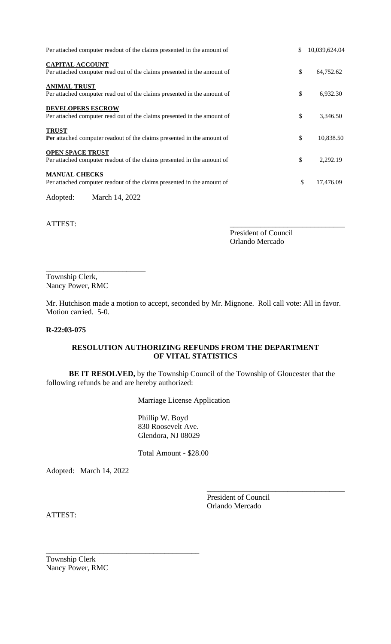| Per attached computer readout of the claims presented in the amount of                              | \$<br>10,039,624.04 |
|-----------------------------------------------------------------------------------------------------|---------------------|
| <b>CAPITAL ACCOUNT</b><br>Per attached computer read out of the claims presented in the amount of   | \$<br>64,752.62     |
| <b>ANIMAL TRUST</b><br>Per attached computer read out of the claims presented in the amount of      | \$<br>6,932.30      |
| <b>DEVELOPERS ESCROW</b><br>Per attached computer read out of the claims presented in the amount of | \$<br>3,346.50      |
| <b>TRUST</b><br>Per attached computer readout of the claims presented in the amount of              | \$<br>10,838.50     |
| <b>OPEN SPACE TRUST</b><br>Per attached computer readout of the claims presented in the amount of   | \$<br>2,292.19      |
| <b>MANUAL CHECKS</b><br>Per attached computer readout of the claims presented in the amount of      | \$<br>17,476.09     |
| Adopted:<br>March 14, 2022                                                                          |                     |

President of Council Orlando Mercado

\_\_\_\_\_\_\_\_\_\_\_\_\_\_\_\_\_\_\_\_\_\_\_\_\_\_ Township Clerk, Nancy Power, RMC

Mr. Hutchison made a motion to accept, seconded by Mr. Mignone. Roll call vote: All in favor. Motion carried. 5-0.

ATTEST:

# **R-22:03-075**

# **RESOLUTION AUTHORIZING REFUNDS FROM THE DEPARTMENT OF VITAL STATISTICS**

**BE IT RESOLVED,** by the Township Council of the Township of Gloucester that the following refunds be and are hereby authorized:

Marriage License Application

Phillip W. Boyd 830 Roosevelt Ave. Glendora, NJ 08029

Total Amount - \$28.00

Adopted: March 14, 2022

President of Council Orlando Mercado

\_\_\_\_\_\_\_\_\_\_\_\_\_\_\_\_\_\_\_\_\_\_\_\_\_\_\_\_\_\_\_\_\_\_\_\_

ATTEST:

Township Clerk Nancy Power, RMC

\_\_\_\_\_\_\_\_\_\_\_\_\_\_\_\_\_\_\_\_\_\_\_\_\_\_\_\_\_\_\_\_\_\_\_\_\_\_\_\_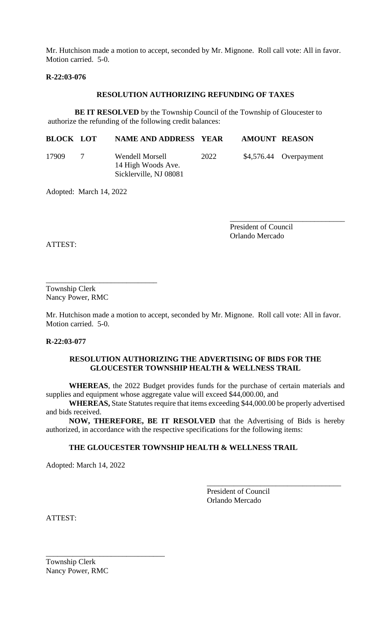Mr. Hutchison made a motion to accept, seconded by Mr. Mignone. Roll call vote: All in favor. Motion carried. 5-0.

## **R-22:03-076**

#### **RESOLUTION AUTHORIZING REFUNDING OF TAXES**

**BE IT RESOLVED** by the Township Council of the Township of Gloucester to authorize the refunding of the following credit balances:

| <b>BLOCK LOT</b> |                | <b>NAME AND ADDRESS YEAR</b>                                    |      | <b>AMOUNT REASON</b> |                        |
|------------------|----------------|-----------------------------------------------------------------|------|----------------------|------------------------|
| 17909            | $\overline{7}$ | Wendell Morsell<br>14 High Woods Ave.<br>Sicklerville, NJ 08081 | 2022 |                      | \$4,576.44 Overpayment |

Adopted: March 14, 2022

\_\_\_\_\_\_\_\_\_\_\_\_\_\_\_\_\_\_\_\_\_\_\_\_\_\_\_\_\_\_ President of Council Orlando Mercado

ATTEST:

Township Clerk Nancy Power, RMC

\_\_\_\_\_\_\_\_\_\_\_\_\_\_\_\_\_\_\_\_\_\_\_\_\_\_\_\_\_

Mr. Hutchison made a motion to accept, seconded by Mr. Mignone. Roll call vote: All in favor. Motion carried. 5-0.

#### **R-22:03-077**

# **RESOLUTION AUTHORIZING THE ADVERTISING OF BIDS FOR THE GLOUCESTER TOWNSHIP HEALTH & WELLNESS TRAIL**

**WHEREAS**, the 2022 Budget provides funds for the purchase of certain materials and supplies and equipment whose aggregate value will exceed \$44,000.00, and

**WHEREAS,** State Statutes require that items exceeding \$44,000.00 be properly advertised and bids received.

**NOW, THEREFORE, BE IT RESOLVED** that the Advertising of Bids is hereby authorized, in accordance with the respective specifications for the following items:

# **THE GLOUCESTER TOWNSHIP HEALTH & WELLNESS TRAIL**

Adopted: March 14, 2022

President of Council Orlando Mercado

\_\_\_\_\_\_\_\_\_\_\_\_\_\_\_\_\_\_\_\_\_\_\_\_\_\_\_\_\_\_\_\_\_\_\_

ATTEST:

Township Clerk Nancy Power, RMC

\_\_\_\_\_\_\_\_\_\_\_\_\_\_\_\_\_\_\_\_\_\_\_\_\_\_\_\_\_\_\_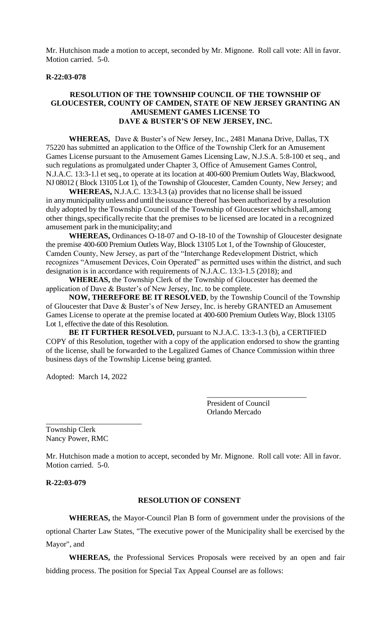Mr. Hutchison made a motion to accept, seconded by Mr. Mignone. Roll call vote: All in favor. Motion carried. 5-0.

#### **R-22:03-078**

# **RESOLUTION OF THE TOWNSHIP COUNCIL OF THE TOWNSHIP OF GLOUCESTER, COUNTY OF CAMDEN, STATE OF NEW JERSEY GRANTING AN AMUSEMENT GAMES LICENSE TO DAVE & BUSTER'S OF NEW JERSEY, INC.**

**WHEREAS,** Dave & Buster's of New Jersey, Inc., 2481 Manana Drive, Dallas, TX 75220 has submitted an application to the Office of the Township Clerk for an Amusement Games License pursuant to the Amusement Games Licensing Law, N.J.S.A. 5:8-100 et seq., and such regulations as promulgated under Chapter 3, Office of Amusement Games Control, N.J.A.C. 13:3-1.l et seq., to operate at its location at 400-600 Premium Outlets Way, Blackwood, NJ 08012 ( Block 13105 Lot 1), of the Township of Gloucester, Camden County, New Jersey; and

**WHEREAS,** N.J.A.C. 13:3-l.3 (a) provides that no license shall be issued in any municipality unless and until the issuance thereof has been authorized by a resolution duly adopted by the Township Council of the Township of Gloucester which shall, among other things,specificallyrecite that the premises to be licensed are located in a recognized amusement park in themunicipality;and

**WHEREAS,** Ordinances O-18-07 and O-18-10 of the Township of Gloucester designate the premise 400-600 Premium Outlets Way, Block 13105 Lot 1, of the Township of Gloucester, Camden County, New Jersey, as part of the "Interchange Redevelopment District, which recognizes "Amusement Devices, Coin Operated" as permitted uses within the district, and such designation is in accordance with requirements of N.J.A.C. 13:3-1.5 (2018); and

**WHEREAS,** the Township Clerk of the Township of Gloucester has deemed the application of Dave & Buster's of New Jersey, Inc. to be complete.

**NOW, THEREFORE BE IT RESOLVED**, by the Township Council of the Township of Gloucester that Dave & Buster's of New Jersey, Inc. is hereby GRANTED an Amusement Games License to operate at the premise located at 400-600 Premium Outlets Way, Block 13105 Lot 1, effective the date of this Resolution.

**BE IT FURTHER RESOLVED,** pursuant to N.J.A.C. 13:3-1.3 (b), a CERTIFIED COPY of this Resolution, together with a copy of the application endorsed to show the granting of the license, shall be forwarded to the Legalized Games of Chance Commission within three business days of the Township License being granted.

Adopted: March 14, 2022

\_\_\_\_\_\_\_\_\_\_\_\_\_\_\_\_\_\_\_\_\_\_\_\_\_

President of Council Orlando Mercado

\_\_\_\_\_\_\_\_\_\_\_\_\_\_\_\_\_\_\_\_\_\_\_\_\_\_

Township Clerk Nancy Power, RMC

Mr. Hutchison made a motion to accept, seconded by Mr. Mignone. Roll call vote: All in favor. Motion carried. 5-0.

**R-22:03-079**

### **RESOLUTION OF CONSENT**

**WHEREAS,** the Mayor-Council Plan B form of government under the provisions of the optional Charter Law States, "The executive power of the Municipality shall be exercised by the Mayor", and

**WHEREAS,** the Professional Services Proposals were received by an open and fair bidding process. The position for Special Tax Appeal Counsel are as follows: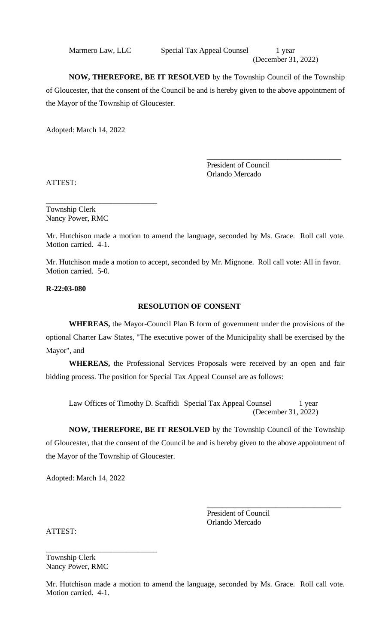Marmero Law, LLC Special Tax Appeal Counsel 1 year (December 31, 2022)

**NOW, THEREFORE, BE IT RESOLVED** by the Township Council of the Township of Gloucester, that the consent of the Council be and is hereby given to the above appointment of the Mayor of the Township of Gloucester.

Adopted: March 14, 2022

\_\_\_\_\_\_\_\_\_\_\_\_\_\_\_\_\_\_\_\_\_\_\_\_\_\_\_\_\_\_\_\_\_\_\_ President of Council Orlando Mercado

ATTEST:

Township Clerk Nancy Power, RMC

\_\_\_\_\_\_\_\_\_\_\_\_\_\_\_\_\_\_\_\_\_\_\_\_\_\_\_\_\_

Mr. Hutchison made a motion to amend the language, seconded by Ms. Grace. Roll call vote. Motion carried. 4-1.

Mr. Hutchison made a motion to accept, seconded by Mr. Mignone. Roll call vote: All in favor. Motion carried. 5-0.

**R-22:03-080**

# **RESOLUTION OF CONSENT**

**WHEREAS,** the Mayor-Council Plan B form of government under the provisions of the optional Charter Law States, "The executive power of the Municipality shall be exercised by the Mayor", and

**WHEREAS,** the Professional Services Proposals were received by an open and fair bidding process. The position for Special Tax Appeal Counsel are as follows:

Law Offices of Timothy D. Scaffidi Special Tax Appeal Counsel 1 year (December 31, 2022)

**NOW, THEREFORE, BE IT RESOLVED** by the Township Council of the Township of Gloucester, that the consent of the Council be and is hereby given to the above appointment of the Mayor of the Township of Gloucester.

Adopted: March 14, 2022

\_\_\_\_\_\_\_\_\_\_\_\_\_\_\_\_\_\_\_\_\_\_\_\_\_\_\_\_\_\_\_\_\_\_\_ President of Council Orlando Mercado

ATTEST:

Township Clerk Nancy Power, RMC

\_\_\_\_\_\_\_\_\_\_\_\_\_\_\_\_\_\_\_\_\_\_\_\_\_\_\_\_\_

Mr. Hutchison made a motion to amend the language, seconded by Ms. Grace. Roll call vote. Motion carried. 4-1.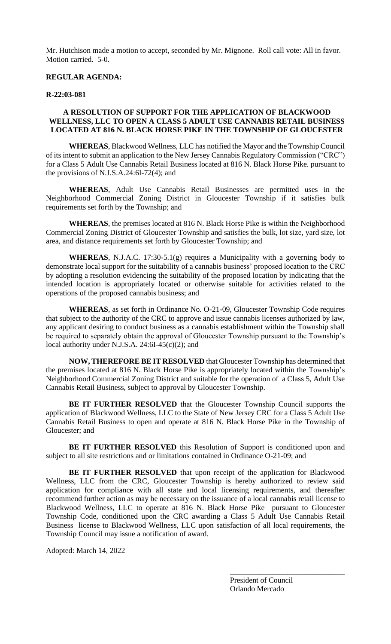Mr. Hutchison made a motion to accept, seconded by Mr. Mignone. Roll call vote: All in favor. Motion carried. 5-0.

# **REGULAR AGENDA:**

#### **R-22:03-081**

# **A RESOLUTION OF SUPPORT FOR THE APPLICATION OF BLACKWOOD WELLNESS, LLC TO OPEN A CLASS 5 ADULT USE CANNABIS RETAIL BUSINESS LOCATED AT 816 N. BLACK HORSE PIKE IN THE TOWNSHIP OF GLOUCESTER**

**WHEREAS**, Blackwood Wellness, LLC has notified the Mayor and the Township Council of its intent to submit an application to the New Jersey Cannabis Regulatory Commission ("CRC") for a Class 5 Adult Use Cannabis Retail Business located at 816 N. Black Horse Pike. pursuant to the provisions of N.J.S.A.24:6I-72(4); and

**WHEREAS**, Adult Use Cannabis Retail Businesses are permitted uses in the Neighborhood Commercial Zoning District in Gloucester Township if it satisfies bulk requirements set forth by the Township; and

**WHEREAS**, the premises located at 816 N. Black Horse Pike is within the Neighborhood Commercial Zoning District of Gloucester Township and satisfies the bulk, lot size, yard size, lot area, and distance requirements set forth by Gloucester Township; and

**WHEREAS**, N.J.A.C. 17:30-5.1(g) requires a Municipality with a governing body to demonstrate local support for the suitability of a cannabis business' proposed location to the CRC by adopting a resolution evidencing the suitability of the proposed location by indicating that the intended location is appropriately located or otherwise suitable for activities related to the operations of the proposed cannabis business; and

**WHEREAS**, as set forth in Ordinance No. O-21-09, Gloucester Township Code requires that subject to the authority of the CRC to approve and issue cannabis licenses authorized by law, any applicant desiring to conduct business as a cannabis establishment within the Township shall be required to separately obtain the approval of Gloucester Township pursuant to the Township's local authority under N.J.S.A. 24:6I-45(c)(2); and

**NOW, THEREFORE BE IT RESOLVED** that Gloucester Township has determined that the premises located at 816 N. Black Horse Pike is appropriately located within the Township's Neighborhood Commercial Zoning District and suitable for the operation of a Class 5, Adult Use Cannabis Retail Business, subject to approval by Gloucester Township.

**BE IT FURTHER RESOLVED** that the Gloucester Township Council supports the application of Blackwood Wellness, LLC to the State of New Jersey CRC for a Class 5 Adult Use Cannabis Retail Business to open and operate at 816 N. Black Horse Pike in the Township of Gloucester; and

BE IT FURTHER RESOLVED this Resolution of Support is conditioned upon and subject to all site restrictions and or limitations contained in Ordinance O-21-09; and

**BE IT FURTHER RESOLVED** that upon receipt of the application for Blackwood Wellness, LLC from the CRC, Gloucester Township is hereby authorized to review said application for compliance with all state and local licensing requirements, and thereafter recommend further action as may be necessary on the issuance of a local cannabis retail license to Blackwood Wellness, LLC to operate at 816 N. Black Horse Pike pursuant to Gloucester Township Code, conditioned upon the CRC awarding a Class 5 Adult Use Cannabis Retail Business license to Blackwood Wellness, LLC upon satisfaction of all local requirements, the Township Council may issue a notification of award.

Adopted: March 14, 2022

President of Council Orlando Mercado

\_\_\_\_\_\_\_\_\_\_\_\_\_\_\_\_\_\_\_\_\_\_\_\_\_\_\_\_\_\_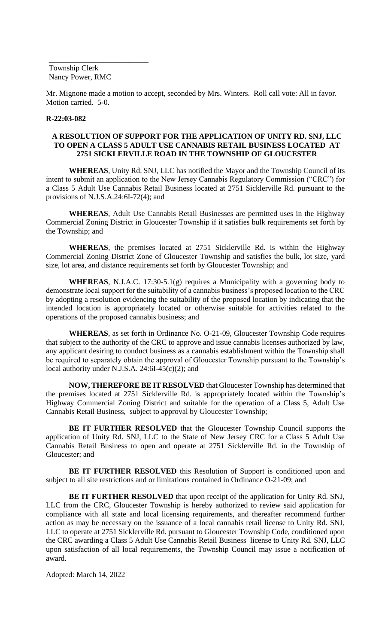Township Clerk Nancy Power, RMC

\_\_\_\_\_\_\_\_\_\_\_\_\_\_\_\_\_\_\_\_\_\_\_\_\_\_

Mr. Mignone made a motion to accept, seconded by Mrs. Winters. Roll call vote: All in favor. Motion carried. 5-0.

#### **R-22:03-082**

# **A RESOLUTION OF SUPPORT FOR THE APPLICATION OF UNITY RD. SNJ, LLC TO OPEN A CLASS 5 ADULT USE CANNABIS RETAIL BUSINESS LOCATED AT 2751 SICKLERVILLE ROAD IN THE TOWNSHIP OF GLOUCESTER**

**WHEREAS**, Unity Rd. SNJ, LLC has notified the Mayor and the Township Council of its intent to submit an application to the New Jersey Cannabis Regulatory Commission ("CRC") for a Class 5 Adult Use Cannabis Retail Business located at 2751 Sicklerville Rd. pursuant to the provisions of N.J.S.A.24:6I-72(4); and

**WHEREAS**, Adult Use Cannabis Retail Businesses are permitted uses in the Highway Commercial Zoning District in Gloucester Township if it satisfies bulk requirements set forth by the Township; and

**WHEREAS**, the premises located at 2751 Sicklerville Rd. is within the Highway Commercial Zoning District Zone of Gloucester Township and satisfies the bulk, lot size, yard size, lot area, and distance requirements set forth by Gloucester Township; and

**WHEREAS**, N.J.A.C. 17:30-5.1(g) requires a Municipality with a governing body to demonstrate local support for the suitability of a cannabis business's proposed location to the CRC by adopting a resolution evidencing the suitability of the proposed location by indicating that the intended location is appropriately located or otherwise suitable for activities related to the operations of the proposed cannabis business; and

**WHEREAS**, as set forth in Ordinance No. O-21-09, Gloucester Township Code requires that subject to the authority of the CRC to approve and issue cannabis licenses authorized by law, any applicant desiring to conduct business as a cannabis establishment within the Township shall be required to separately obtain the approval of Gloucester Township pursuant to the Township's local authority under N.J.S.A. 24:6I-45(c)(2); and

**NOW, THEREFORE BE IT RESOLVED** that Gloucester Township has determined that the premises located at 2751 Sicklerville Rd. is appropriately located within the Township's Highway Commercial Zoning District and suitable for the operation of a Class 5, Adult Use Cannabis Retail Business, subject to approval by Gloucester Township;

**BE IT FURTHER RESOLVED** that the Gloucester Township Council supports the application of Unity Rd. SNJ, LLC to the State of New Jersey CRC for a Class 5 Adult Use Cannabis Retail Business to open and operate at 2751 Sicklerville Rd. in the Township of Gloucester; and

**BE IT FURTHER RESOLVED** this Resolution of Support is conditioned upon and subject to all site restrictions and or limitations contained in Ordinance O-21-09; and

**BE IT FURTHER RESOLVED** that upon receipt of the application for Unity Rd. SNJ, LLC from the CRC, Gloucester Township is hereby authorized to review said application for compliance with all state and local licensing requirements, and thereafter recommend further action as may be necessary on the issuance of a local cannabis retail license to Unity Rd. SNJ, LLC to operate at 2751 Sicklerville Rd. pursuant to Gloucester Township Code, conditioned upon the CRC awarding a Class 5 Adult Use Cannabis Retail Business license to Unity Rd. SNJ, LLC upon satisfaction of all local requirements, the Township Council may issue a notification of award.

Adopted: March 14, 2022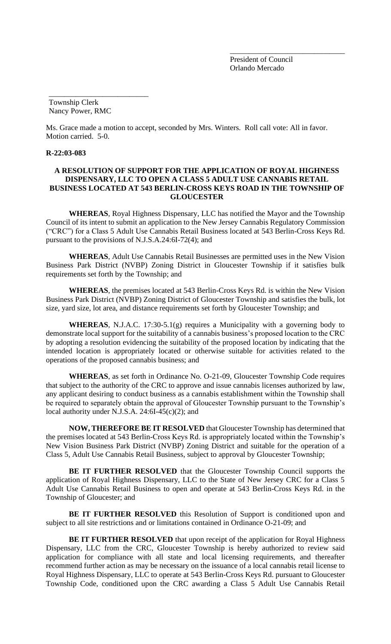President of Council Orlando Mercado

\_\_\_\_\_\_\_\_\_\_\_\_\_\_\_\_\_\_\_\_\_\_\_\_\_\_\_\_\_\_

Township Clerk Nancy Power, RMC

\_\_\_\_\_\_\_\_\_\_\_\_\_\_\_\_\_\_\_\_\_\_\_\_\_\_

Ms. Grace made a motion to accept, seconded by Mrs. Winters. Roll call vote: All in favor. Motion carried. 5-0.

#### **R-22:03-083**

# **A RESOLUTION OF SUPPORT FOR THE APPLICATION OF ROYAL HIGHNESS DISPENSARY, LLC TO OPEN A CLASS 5 ADULT USE CANNABIS RETAIL BUSINESS LOCATED AT 543 BERLIN-CROSS KEYS ROAD IN THE TOWNSHIP OF GLOUCESTER**

**WHEREAS**, Royal Highness Dispensary, LLC has notified the Mayor and the Township Council of its intent to submit an application to the New Jersey Cannabis Regulatory Commission ("CRC") for a Class 5 Adult Use Cannabis Retail Business located at 543 Berlin-Cross Keys Rd. pursuant to the provisions of N.J.S.A.24:6I-72(4); and

**WHEREAS**, Adult Use Cannabis Retail Businesses are permitted uses in the New Vision Business Park District (NVBP) Zoning District in Gloucester Township if it satisfies bulk requirements set forth by the Township; and

**WHEREAS**, the premises located at 543 Berlin-Cross Keys Rd. is within the New Vision Business Park District (NVBP) Zoning District of Gloucester Township and satisfies the bulk, lot size, yard size, lot area, and distance requirements set forth by Gloucester Township; and

**WHEREAS**, N.J.A.C. 17:30-5.1(g) requires a Municipality with a governing body to demonstrate local support for the suitability of a cannabis business's proposed location to the CRC by adopting a resolution evidencing the suitability of the proposed location by indicating that the intended location is appropriately located or otherwise suitable for activities related to the operations of the proposed cannabis business; and

**WHEREAS**, as set forth in Ordinance No. O-21-09, Gloucester Township Code requires that subject to the authority of the CRC to approve and issue cannabis licenses authorized by law, any applicant desiring to conduct business as a cannabis establishment within the Township shall be required to separately obtain the approval of Gloucester Township pursuant to the Township's local authority under N.J.S.A. 24:6I-45(c)(2); and

**NOW, THEREFORE BE IT RESOLVED** that Gloucester Township has determined that the premises located at 543 Berlin-Cross Keys Rd. is appropriately located within the Township's New Vision Business Park District (NVBP) Zoning District and suitable for the operation of a Class 5, Adult Use Cannabis Retail Business, subject to approval by Gloucester Township;

**BE IT FURTHER RESOLVED** that the Gloucester Township Council supports the application of Royal Highness Dispensary, LLC to the State of New Jersey CRC for a Class 5 Adult Use Cannabis Retail Business to open and operate at 543 Berlin-Cross Keys Rd. in the Township of Gloucester; and

BE IT FURTHER RESOLVED this Resolution of Support is conditioned upon and subject to all site restrictions and or limitations contained in Ordinance O-21-09; and

**BE IT FURTHER RESOLVED** that upon receipt of the application for Royal Highness Dispensary, LLC from the CRC, Gloucester Township is hereby authorized to review said application for compliance with all state and local licensing requirements, and thereafter recommend further action as may be necessary on the issuance of a local cannabis retail license to Royal Highness Dispensary, LLC to operate at 543 Berlin-Cross Keys Rd. pursuant to Gloucester Township Code, conditioned upon the CRC awarding a Class 5 Adult Use Cannabis Retail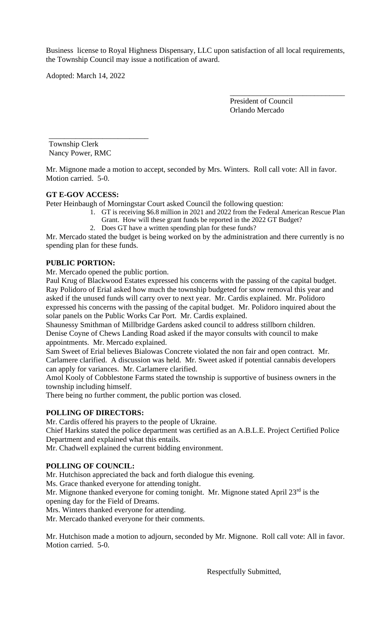Business license to Royal Highness Dispensary, LLC upon satisfaction of all local requirements, the Township Council may issue a notification of award.

Adopted: March 14, 2022

President of Council Orlando Mercado

\_\_\_\_\_\_\_\_\_\_\_\_\_\_\_\_\_\_\_\_\_\_\_\_\_\_\_\_\_\_

\_\_\_\_\_\_\_\_\_\_\_\_\_\_\_\_\_\_\_\_\_\_\_\_\_\_ Township Clerk Nancy Power, RMC

Mr. Mignone made a motion to accept, seconded by Mrs. Winters. Roll call vote: All in favor. Motion carried. 5-0.

# **GT E-GOV ACCESS:**

Peter Heinbaugh of Morningstar Court asked Council the following question:

- 1. GT is receiving \$6.8 million in 2021 and 2022 from the Federal American Rescue Plan
	- Grant. How will these grant funds be reported in the 2022 GT Budget?
- 2. Does GT have a written spending plan for these funds?

Mr. Mercado stated the budget is being worked on by the administration and there currently is no spending plan for these funds.

# **PUBLIC PORTION:**

Mr. Mercado opened the public portion.

Paul Krug of Blackwood Estates expressed his concerns with the passing of the capital budget. Ray Polidoro of Erial asked how much the township budgeted for snow removal this year and asked if the unused funds will carry over to next year. Mr. Cardis explained. Mr. Polidoro expressed his concerns with the passing of the capital budget. Mr. Polidoro inquired about the solar panels on the Public Works Car Port. Mr. Cardis explained.

Shaunessy Smithman of Millbridge Gardens asked council to address stillborn children. Denise Coyne of Chews Landing Road asked if the mayor consults with council to make appointments. Mr. Mercado explained.

Sam Sweet of Erial believes Bialowas Concrete violated the non fair and open contract. Mr. Carlamere clarified. A discussion was held. Mr. Sweet asked if potential cannabis developers can apply for variances. Mr. Carlamere clarified.

Amol Kooly of Cobblestone Farms stated the township is supportive of business owners in the township including himself.

There being no further comment, the public portion was closed.

# **POLLING OF DIRECTORS:**

Mr. Cardis offered his prayers to the people of Ukraine.

Chief Harkins stated the police department was certified as an A.B.L.E. Project Certified Police Department and explained what this entails.

Mr. Chadwell explained the current bidding environment.

# **POLLING OF COUNCIL:**

Mr. Hutchison appreciated the back and forth dialogue this evening.

Ms. Grace thanked everyone for attending tonight.

Mr. Mignone thanked everyone for coming tonight. Mr. Mignone stated April  $23<sup>rd</sup>$  is the opening day for the Field of Dreams.

Mrs. Winters thanked everyone for attending.

Mr. Mercado thanked everyone for their comments.

Mr. Hutchison made a motion to adjourn, seconded by Mr. Mignone. Roll call vote: All in favor. Motion carried. 5-0.

Respectfully Submitted,